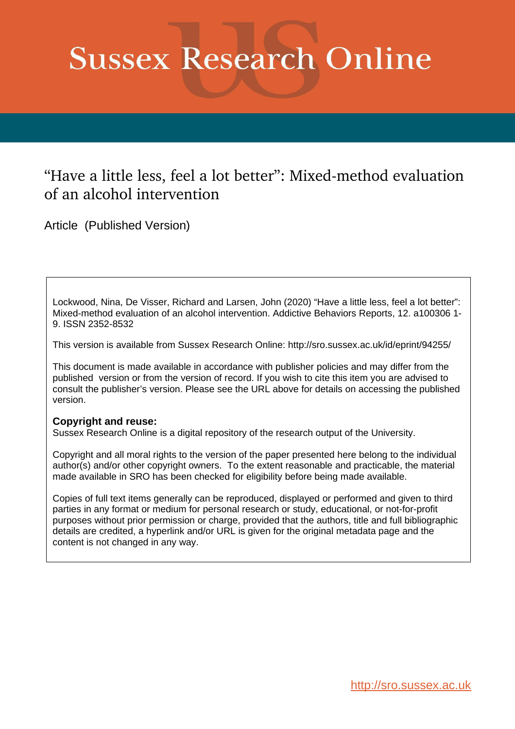# **Sussex Research Online**

## "Have a little less, feel a lot better": Mixed-method evaluation of an alcohol intervention

Article (Published Version)

Lockwood, Nina, De Visser, Richard and Larsen, John (2020) "Have a little less, feel a lot better": Mixed-method evaluation of an alcohol intervention. Addictive Behaviors Reports, 12. a100306 1- 9. ISSN 2352-8532

This version is available from Sussex Research Online: http://sro.sussex.ac.uk/id/eprint/94255/

This document is made available in accordance with publisher policies and may differ from the published version or from the version of record. If you wish to cite this item you are advised to consult the publisher's version. Please see the URL above for details on accessing the published version.

### **Copyright and reuse:**

Sussex Research Online is a digital repository of the research output of the University.

Copyright and all moral rights to the version of the paper presented here belong to the individual author(s) and/or other copyright owners. To the extent reasonable and practicable, the material made available in SRO has been checked for eligibility before being made available.

Copies of full text items generally can be reproduced, displayed or performed and given to third parties in any format or medium for personal research or study, educational, or not-for-profit purposes without prior permission or charge, provided that the authors, title and full bibliographic details are credited, a hyperlink and/or URL is given for the original metadata page and the content is not changed in any way.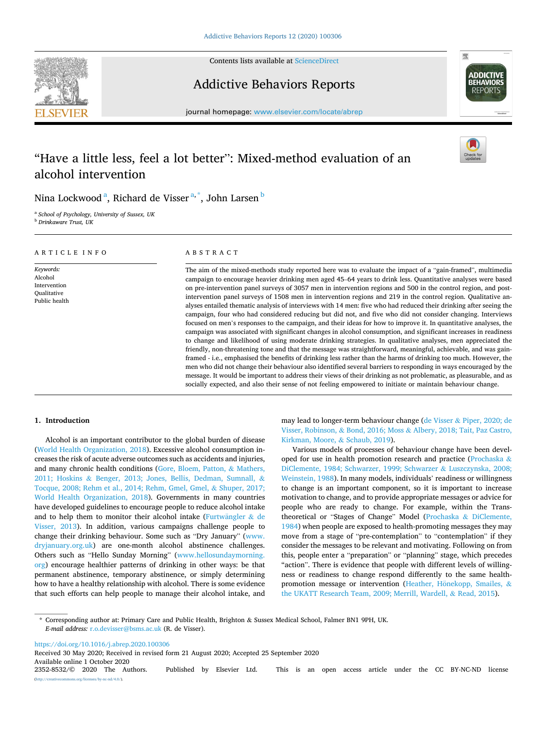

Contents lists available at [ScienceDirect](www.sciencedirect.com/science/journal/23528532)

## Addictive Behaviors Reports



journal homepage: [www.elsevier.com/locate/abrep](https://www.elsevier.com/locate/abrep)

## "Have a little less, feel a lot better": Mixed-method evaluation of an alcohol intervention



Nina Lockwood $^{\rm a}$ , Richard de Visser $^{\rm a, *}$ , John Larsen $^{\rm b}$ 

<sup>a</sup> *School of Psychology, University of Sussex, UK* <sup>b</sup> *Drinkaware Trust, UK* 

| ARTICLE INFO                                                         | ABSTRACT                                                                                                                                                                                                                                                                                                                                                                                                                                                                                                                                                                                                                                                                                                                                                                                                                                                                                                                                                                                                                                                                                                                                                                                                                                                                                                                                                                                                                                                                                                                              |
|----------------------------------------------------------------------|---------------------------------------------------------------------------------------------------------------------------------------------------------------------------------------------------------------------------------------------------------------------------------------------------------------------------------------------------------------------------------------------------------------------------------------------------------------------------------------------------------------------------------------------------------------------------------------------------------------------------------------------------------------------------------------------------------------------------------------------------------------------------------------------------------------------------------------------------------------------------------------------------------------------------------------------------------------------------------------------------------------------------------------------------------------------------------------------------------------------------------------------------------------------------------------------------------------------------------------------------------------------------------------------------------------------------------------------------------------------------------------------------------------------------------------------------------------------------------------------------------------------------------------|
| Keywords:<br>Alcohol<br>Intervention<br>Qualitative<br>Public health | The aim of the mixed-methods study reported here was to evaluate the impact of a "gain-framed", multimedia<br>campaign to encourage heavier drinking men aged 45–64 years to drink less. Quantitative analyses were based<br>on pre-intervention panel surveys of 3057 men in intervention regions and 500 in the control region, and post-<br>intervention panel surveys of 1508 men in intervention regions and 219 in the control region. Qualitative an-<br>alyses entailed thematic analysis of interviews with 14 men: five who had reduced their drinking after seeing the<br>campaign, four who had considered reducing but did not, and five who did not consider changing. Interviews<br>focused on men's responses to the campaign, and their ideas for how to improve it. In quantitative analyses, the<br>campaign was associated with significant changes in alcohol consumption, and significant increases in readiness<br>to change and likelihood of using moderate drinking strategies. In qualitative analyses, men appreciated the<br>friendly, non-threatening tone and that the message was straightforward, meaningful, achievable, and was gain-<br>framed - i.e., emphasised the benefits of drinking less rather than the harms of drinking too much. However, the<br>men who did not change their behaviour also identified several barriers to responding in ways encouraged by the<br>message. It would be important to address their views of their drinking as not problematic, as pleasurable, and as |

#### **1. Introduction**

Alcohol is an important contributor to the global burden of disease ([World Health Organization, 2018](#page-9-0)). Excessive alcohol consumption increases the risk of acute adverse outcomes such as accidents and injuries, and many chronic health conditions [\(Gore, Bloem, Patton,](#page-8-0) & Mathers, 2011; Hoskins & [Benger, 2013; Jones, Bellis, Dedman, Sumnall,](#page-8-0) & [Tocque, 2008; Rehm et al., 2014; Rehm, Gmel, Gmel,](#page-8-0) & Shuper, 2017; [World Health Organization, 2018](#page-8-0)). Governments in many countries have developed guidelines to encourage people to reduce alcohol intake and to help them to monitor their alcohol intake (Furtwängler  $&$  de [Visser, 2013\)](#page-8-0). In addition, various campaigns challenge people to change their drinking behaviour. Some such as "Dry January" ([www.](http://www.dryjanuary.org.uk)  [dryjanuary.org.uk](http://www.dryjanuary.org.uk)) are one-month alcohol abstinence challenges. Others such as "Hello Sunday Morning" [\(www.hellosundaymorning.](http://www.hellosundaymorning.org)  [org](http://www.hellosundaymorning.org)) encourage healthier patterns of drinking in other ways: be that permanent abstinence, temporary abstinence, or simply determining how to have a healthy relationship with alcohol. There is some evidence that such efforts can help people to manage their alcohol intake, and

may lead to longer-term behaviour change (de Visser & [Piper, 2020; de](#page-8-0)  Visser, Robinson, & Bond, 2016; Moss & [Albery, 2018; Tait, Paz Castro,](#page-8-0)  [Kirkman, Moore,](#page-8-0) & Schaub, 2019).

socially expected, and also their sense of not feeling empowered to initiate or maintain behaviour change.

Various models of processes of behaviour change have been developed for use in health promotion research and practice ([Prochaska](#page-8-0) & [DiClemente, 1984; Schwarzer, 1999; Schwarzer](#page-8-0) & Luszczynska, 2008; [Weinstein, 1988\)](#page-8-0). In many models, individuals' readiness or willingness to change is an important component, so it is important to increase motivation to change, and to provide appropriate messages or advice for people who are ready to change. For example, within the Transtheoretical or "Stages of Change" Model (Prochaska & [DiClemente,](#page-8-0)  [1984\)](#page-8-0) when people are exposed to health-promoting messages they may move from a stage of "pre-contemplation" to "contemplation" if they consider the messages to be relevant and motivating. Following on from this, people enter a "preparation" or "planning" stage, which precedes "action". There is evidence that people with different levels of willingness or readiness to change respond differently to the same healthpromotion message or intervention (Heather, Hönekopp, Smailes, & [the UKATT Research Team, 2009; Merrill, Wardell,](#page-8-0) & Read, 2015).

\* Corresponding author at: Primary Care and Public Health, Brighton & Sussex Medical School, Falmer BN1 9PH, UK. *E-mail address:* [r.o.devisser@bsms.ac.uk](mailto:r.o.devisser@bsms.ac.uk) (R. de Visser).

<https://doi.org/10.1016/j.abrep.2020.100306>

Available online 1 October 2020<br>2352-8532/© 2020 The Authors. 2352-8532/© 2020 The Authors. Published by Elsevier Ltd. This is an open access article under the CC BY-NC-ND license (http://eref.commons.org/licenses/by-nc-nd/4.0/). Received 30 May 2020; Received in revised form 21 August 2020; Accepted 25 September 2020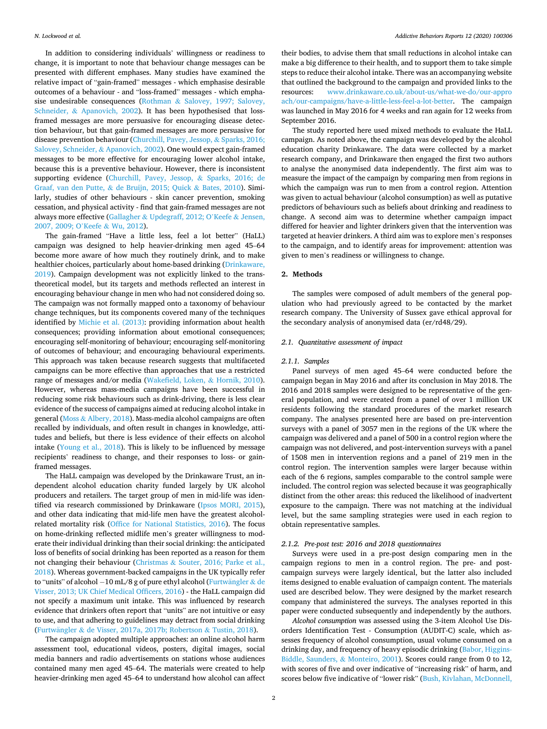In addition to considering individuals' willingness or readiness to change, it is important to note that behaviour change messages can be presented with different emphases. Many studies have examined the relative impact of "gain-framed" messages - which emphasise desirable outcomes of a behaviour - and "loss-framed" messages - which emphasise undesirable consequences (Rothman & [Salovey, 1997; Salovey,](#page-8-0)  Schneider, & [Apanovich, 2002](#page-8-0)). It has been hypothesised that lossframed messages are more persuasive for encouraging disease detection behaviour, but that gain-framed messages are more persuasive for disease prevention behaviour ([Churchill, Pavey, Jessop,](#page-8-0) & Sparks, 2016; [Salovey, Schneider,](#page-8-0) & Apanovich, 2002). One would expect gain-framed messages to be more effective for encouraging lower alcohol intake, because this is a preventive behaviour. However, there is inconsistent supporting evidence [\(Churchill, Pavey, Jessop,](#page-8-0) & Sparks, 2016; de Graaf, van den Putte, & [de Bruijn, 2015; Quick](#page-8-0) & Bates, 2010). Similarly, studies of other behaviours - skin cancer prevention, smoking cessation, and physical activity - find that gain-framed messages are not always more effective (Gallagher & [Updegraff, 2012; O](#page-8-0)'Keefe & Jensen, [2007, 2009; O](#page-8-0)'Keefe & Wu, 2012).

The gain-framed "Have a little less, feel a lot better" (HaLL) campaign was designed to help heavier-drinking men aged 45–64 become more aware of how much they routinely drink, and to make healthier choices, particularly about home-based drinking [\(Drinkaware,](#page-8-0)  [2019\)](#page-8-0). Campaign development was not explicitly linked to the transtheoretical model, but its targets and methods reflected an interest in encouraging behaviour change in men who had not considered doing so. The campaign was not formally mapped onto a taxonomy of behaviour change techniques, but its components covered many of the techniques identified by [Michie et al. \(2013\)](#page-8-0): providing information about health consequences; providing information about emotional consequences; encouraging self-monitoring of behaviour; encouraging self-monitoring of outcomes of behaviour; and encouraging behavioural experiments. This approach was taken because research suggests that multifaceted campaigns can be more effective than approaches that use a restricted range of messages and/or media ([Wakefield, Loken,](#page-8-0) & Hornik, 2010). However, whereas mass-media campaigns have been successful in reducing some risk behaviours such as drink-driving, there is less clear evidence of the success of campaigns aimed at reducing alcohol intake in general (Moss & [Albery, 2018](#page-8-0)). Mass-media alcohol campaigns are often recalled by individuals, and often result in changes in knowledge, attitudes and beliefs, but there is less evidence of their effects on alcohol intake [\(Young et al., 2018](#page-9-0)). This is likely to be influenced by message recipients' readiness to change, and their responses to loss- or gainframed messages.

The HaLL campaign was developed by the Drinkaware Trust, an independent alcohol education charity funded largely by UK alcohol producers and retailers. The target group of men in mid-life was identified via research commissioned by Drinkaware [\(Ipsos MORI, 2015](#page-8-0)), and other data indicating that mid-life men have the greatest alcoholrelated mortality risk [\(Office for National Statistics, 2016\)](#page-8-0). The focus on home-drinking reflected midlife men's greater willingness to moderate their individual drinking than their social drinking: the anticipated loss of benefits of social drinking has been reported as a reason for them not changing their behaviour (Christmas & [Souter, 2016; Parke et al.,](#page-8-0)  [2018\)](#page-8-0). Whereas government-backed campaigns in the UK typically refer to "units" of alcohol  $-10$  mL/8 g of pure ethyl alcohol (Furtwängler & de [Visser, 2013; UK Chief Medical Officers, 2016\)](#page-8-0) - the HaLL campaign did not specify a maximum unit intake. This was influenced by research evidence that drinkers often report that "units" are not intuitive or easy to use, and that adhering to guidelines may detract from social drinking (Furtwängler & [de Visser, 2017a, 2017b; Robertson](#page-8-0) & Tustin, 2018).

The campaign adopted multiple approaches: an online alcohol harm assessment tool, educational videos, posters, digital images, social media banners and radio advertisements on stations whose audiences contained many men aged 45–64. The materials were created to help heavier-drinking men aged 45–64 to understand how alcohol can affect

their bodies, to advise them that small reductions in alcohol intake can make a big difference to their health, and to support them to take simple steps to reduce their alcohol intake. There was an accompanying website that outlined the background to the campaign and provided links to the resources: [www.drinkaware.co.uk/about-us/what-we-do/our-appro](http://www.drinkaware.co.uk/about-us/what-we-do/our-approach/our-campaigns/have-a-little-less-feel-a-lot-better)  [ach/our-campaigns/have-a-little-less-feel-a-lot-better](http://www.drinkaware.co.uk/about-us/what-we-do/our-approach/our-campaigns/have-a-little-less-feel-a-lot-better). The campaign was launched in May 2016 for 4 weeks and ran again for 12 weeks from September 2016.

The study reported here used mixed methods to evaluate the HaLL campaign. As noted above, the campaign was developed by the alcohol education charity Drinkaware. The data were collected by a market research company, and Drinkaware then engaged the first two authors to analyse the anonymised data independently. The first aim was to measure the impact of the campaign by comparing men from regions in which the campaign was run to men from a control region. Attention was given to actual behaviour (alcohol consumption) as well as putative predictors of behaviours such as beliefs about drinking and readiness to change. A second aim was to determine whether campaign impact differed for heavier and lighter drinkers given that the intervention was targeted at heavier drinkers. A third aim was to explore men's responses to the campaign, and to identify areas for improvement: attention was given to men's readiness or willingness to change.

#### **2. Methods**

The samples were composed of adult members of the general population who had previously agreed to be contacted by the market research company. The University of Sussex gave ethical approval for the secondary analysis of anonymised data (er/rd48/29).

#### *2.1. Quantitative assessment of impact*

#### *2.1.1. Samples*

Panel surveys of men aged 45–64 were conducted before the campaign began in May 2016 and after its conclusion in May 2018. The 2016 and 2018 samples were designed to be representative of the general population, and were created from a panel of over 1 million UK residents following the standard procedures of the market research company. The analyses presented here are based on pre-intervention surveys with a panel of 3057 men in the regions of the UK where the campaign was delivered and a panel of 500 in a control region where the campaign was not delivered, and post-intervention surveys with a panel of 1508 men in intervention regions and a panel of 219 men in the control region. The intervention samples were larger because within each of the 6 regions, samples comparable to the control sample were included. The control region was selected because it was geographically distinct from the other areas: this reduced the likelihood of inadvertent exposure to the campaign. There was not matching at the individual level, but the same sampling strategies were used in each region to obtain representative samples.

#### *2.1.2. Pre-post test: 2016 and 2018 questionnaires*

Surveys were used in a pre-post design comparing men in the campaign regions to men in a control region. The pre- and postcampaign surveys were largely identical, but the latter also included items designed to enable evaluation of campaign content. The materials used are described below. They were designed by the market research company that administered the surveys. The analyses reported in this paper were conducted subsequently and independently by the authors.

*Alcohol consumption* was assessed using the 3-item Alcohol Use Disorders Identification Test - Consumption (AUDIT-C) scale, which assesses frequency of alcohol consumption, usual volume consumed on a drinking day, and frequency of heavy episodic drinking ([Babor, Higgins-](#page-8-0)[Biddle, Saunders,](#page-8-0) & Monteiro, 2001). Scores could range from 0 to 12, with scores of five and over indicative of "increasing risk" of harm, and scores below five indicative of "lower risk" ([Bush, Kivlahan, McDonnell,](#page-8-0)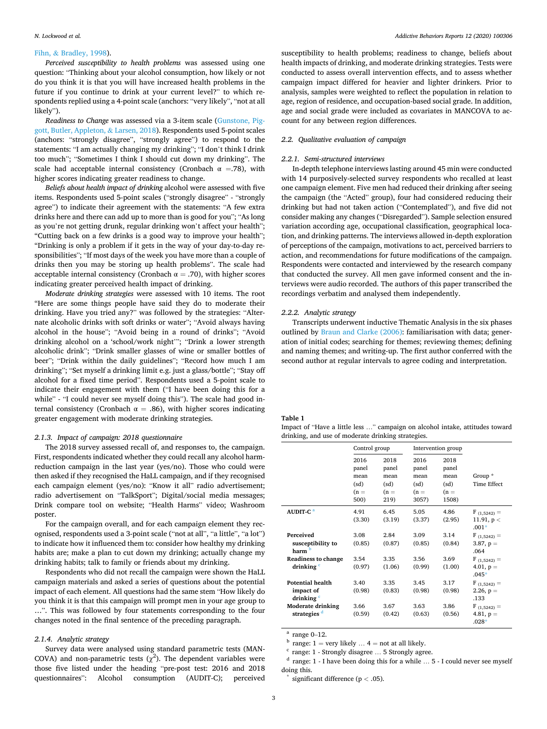#### <span id="page-3-0"></span>Fihn, & [Bradley, 1998](#page-8-0)).

*Perceived susceptibility to health problems* was assessed using one question: "Thinking about your alcohol consumption, how likely or not do you think it is that you will have increased health problems in the future if you continue to drink at your current level?" to which respondents replied using a 4-point scale (anchors: "very likely", "not at all likely").

*Readiness to Change* was assessed via a 3-item scale ([Gunstone, Pig](#page-8-0)[gott, Butler, Appleton,](#page-8-0) & Larsen, 2018). Respondents used 5-point scales (anchors: "strongly disagree", "strongly agree") to respond to the statements: "I am actually changing my drinking"; "I don't think I drink too much"; "Sometimes I think I should cut down my drinking". The scale had acceptable internal consistency (Cronbach  $\alpha$  =.78), with higher scores indicating greater readiness to change.

*Beliefs about health impact of drinking* alcohol were assessed with five items. Respondents used 5-point scales ("strongly disagree" - "strongly agree") to indicate their agreement with the statements: "A few extra drinks here and there can add up to more than is good for you"; "As long as you're not getting drunk, regular drinking won't affect your health"; "Cutting back on a few drinks is a good way to improve your health"; "Drinking is only a problem if it gets in the way of your day-to-day responsibilities"; "If most days of the week you have more than a couple of drinks then you may be storing up health problems". The scale had acceptable internal consistency (Cronbach  $\alpha = .70$ ), with higher scores indicating greater perceived health impact of drinking.

*Moderate drinking strategies* were assessed with 10 items. The root "Here are some things people have said they do to moderate their drinking. Have you tried any?" was followed by the strategies: "Alternate alcoholic drinks with soft drinks or water"; "Avoid always having alcohol in the house"; "Avoid being in a round of drinks"; "Avoid drinking alcohol on a 'school/work night'"; "Drink a lower strength alcoholic drink"; "Drink smaller glasses of wine or smaller bottles of beer"; "Drink within the daily guidelines"; "Record how much I am drinking"; "Set myself a drinking limit e.g. just a glass/bottle"; "Stay off alcohol for a fixed time period". Respondents used a 5-point scale to indicate their engagement with them ("I have been doing this for a while" - "I could never see myself doing this"). The scale had good internal consistency (Cronbach  $\alpha = .86$ ), with higher scores indicating greater engagement with moderate drinking strategies.

#### *2.1.3. Impact of campaign: 2018 questionnaire*

The 2018 survey assessed recall of, and responses to, the campaign. First, respondents indicated whether they could recall any alcohol harmreduction campaign in the last year (yes/no). Those who could were then asked if they recognised the HaLL campaign, and if they recognised each campaign element (yes/no): "Know it all" radio advertisement; radio advertisement on "TalkSport"; Digital/social media messages; Drink compare tool on website; "Health Harms" video; Washroom poster.

For the campaign overall, and for each campaign element they recognised, respondents used a 3-point scale ("not at all", "a little", "a lot") to indicate how it influenced them to: consider how healthy my drinking habits are; make a plan to cut down my drinking; actually change my drinking habits; talk to family or friends about my drinking.

Respondents who did not recall the campaign were shown the HaLL campaign materials and asked a series of questions about the potential impact of each element. All questions had the same stem "How likely do you think it is that this campaign will prompt men in your age group to …". This was followed by four statements corresponding to the four changes noted in the final sentence of the preceding paragraph.

#### *2.1.4. Analytic strategy*

Survey data were analysed using standard parametric tests (MAN-COVA) and non-parametric tests ( $\chi^2$ ). The dependent variables were those five listed under the heading "pre-post test: 2016 and 2018 questionnaires": Alcohol consumption (AUDIT-C); perceived

susceptibility to health problems; readiness to change, beliefs about health impacts of drinking, and moderate drinking strategies. Tests were conducted to assess overall intervention effects, and to assess whether campaign impact differed for heavier and lighter drinkers. Prior to analysis, samples were weighted to reflect the population in relation to age, region of residence, and occupation-based social grade. In addition, age and social grade were included as covariates in MANCOVA to account for any between region differences.

#### *2.2. Qualitative evaluation of campaign*

#### *2.2.1. Semi-structured interviews*

In-depth telephone interviews lasting around 45 min were conducted with 14 purposively-selected survey respondents who recalled at least one campaign element. Five men had reduced their drinking after seeing the campaign (the "Acted" group), four had considered reducing their drinking but had not taken action ("Contemplated"), and five did not consider making any changes ("Disregarded"). Sample selection ensured variation according age, occupational classification, geographical location, and drinking patterns. The interviews allowed in-depth exploration of perceptions of the campaign, motivations to act, perceived barriers to action, and recommendations for future modifications of the campaign. Respondents were contacted and interviewed by the research company that conducted the survey. All men gave informed consent and the interviews were audio recorded. The authors of this paper transcribed the recordings verbatim and analysed them independently.

#### *2.2.2. Analytic strategy*

Transcripts underwent inductive Thematic Analysis in the six phases outlined by [Braun and Clarke \(2006\)](#page-8-0): familiarisation with data; generation of initial codes; searching for themes; reviewing themes; defining and naming themes; and writing-up. The first author conferred with the second author at regular intervals to agree coding and interpretation.

#### **Table 1**

Impact of "Have a little less …" campaign on alcohol intake, attitudes toward drinking, and use of moderate drinking strategies.

|                                    | Control group                                   |                                                 | Intervention group                               |                                                  |                          |
|------------------------------------|-------------------------------------------------|-------------------------------------------------|--------------------------------------------------|--------------------------------------------------|--------------------------|
|                                    | 2016<br>panel<br>mean<br>(sd)<br>$(n =$<br>500) | 2018<br>panel<br>mean<br>(sd)<br>$(n =$<br>219) | 2016<br>panel<br>mean<br>(sd)<br>$(n =$<br>3057) | 2018<br>panel<br>mean<br>(sd)<br>$(n =$<br>1508) | Group $*$<br>Time Effect |
| AUDIT-C <sup>a</sup>               | 4.91                                            | 6.45                                            | 5.05                                             | 4.86                                             | $F_{(1,5242)} =$         |
|                                    | (3.30)                                          | (3.19)                                          | (3.37)                                           | (2.95)                                           | 11.91, $p <$             |
|                                    |                                                 |                                                 |                                                  |                                                  | $.001*$                  |
| Perceived                          | 3.08                                            | 2.84                                            | 3.09                                             | 3.14                                             | $F_{(1,5242)} =$         |
| susceptibility to<br>harm b        | (0.85)                                          | (0.87)                                          | (0.85)                                           | (0.84)                                           | 3.87, $p =$<br>.064      |
| <b>Readiness to change</b>         | 3.54                                            | 3.35                                            | 3.56                                             | 3.69                                             | $F(1.5242) =$            |
| drinking <sup>c</sup>              | (0.97)                                          | (1.06)                                          | (0.99)                                           | (1.00)                                           | 4.01, $p =$<br>$.045*$   |
| <b>Potential health</b>            | 3.40                                            | 3.35                                            | 3.45                                             | 3.17                                             | $F_{(1,5242)} =$         |
| impact of<br>drinking <sup>c</sup> | (0.98)                                          | (0.83)                                          | (0.98)                                           | (0.98)                                           | 2.26, $p =$<br>.133      |
| <b>Moderate drinking</b>           | 3.66                                            | 3.67                                            | 3.63                                             | 3.86                                             | $F_{(1,5242)} =$         |
| strategies <sup>d</sup>            | (0.59)                                          | (0.42)                                          | (0.63)                                           | (0.56)                                           | 4.81, $p =$<br>$.028*$   |

<sup>a</sup> range: 1 = very likely … 4 = not at all likely.<br><sup>b</sup> range: 1 - Strongly disagree … 5 Strongly agree.<br><sup>d</sup> range: 1 - I have been doing this for a while … 5 - I could never see myself doing this. \* significant difference (p *<sup>&</sup>lt;* .05).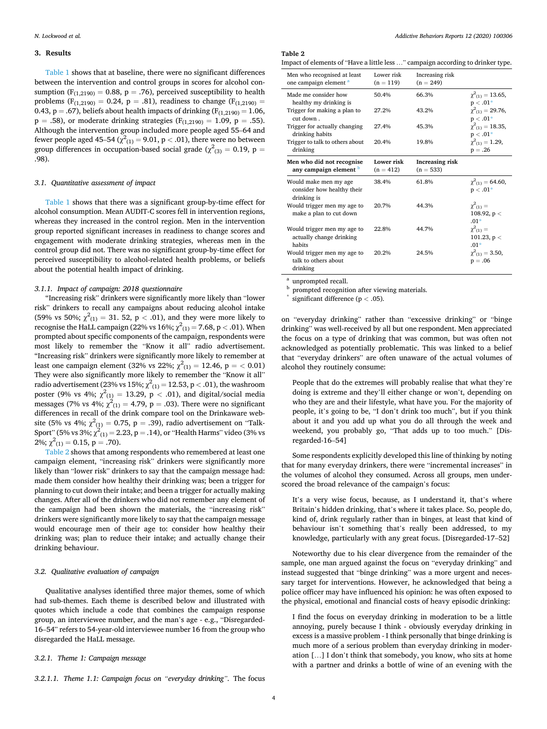#### **3. Results**

[Table 1](#page-3-0) shows that at baseline, there were no significant differences between the intervention and control groups in scores for alcohol consumption ( $F_{(1,2190)} = 0.88$ ,  $p = .76$ ), perceived susceptibility to health problems ( $F_{(1,2190)} = 0.24$ ,  $p = .81$ ), readiness to change ( $F_{(1,2190)} =$ 0.43, p = .67), beliefs about health impacts of drinking  $(F_{(1,2190)} = 1.06$ ,  $p = .58$ , or moderate drinking strategies ( $F_{(1,2190)} = 1.09$ ,  $p = .55$ ). Although the intervention group included more people aged 55–64 and fewer people aged 45–54 ( $\chi^2_{(1)}$  = 9.01, p < .01), there were no between group differences in occupation-based social grade ( $\chi^2_{\ (3)} = 0.19, \ {\rm p} =$ .98).

#### *3.1. Quantitative assessment of impact*

[Table 1](#page-3-0) shows that there was a significant group-by-time effect for alcohol consumption. Mean AUDIT-C scores fell in intervention regions, whereas they increased in the control region. Men in the intervention group reported significant increases in readiness to change scores and engagement with moderate drinking strategies, whereas men in the control group did not. There was no significant group-by-time effect for perceived susceptibility to alcohol-related health problems, or beliefs about the potential health impact of drinking.

#### *3.1.1. Impact of campaign: 2018 questionnaire*

"Increasing risk" drinkers were significantly more likely than "lower risk" drinkers to recall any campaigns about reducing alcohol intake (59% vs 50%;  $\chi^2_{(1)} = 31.52$ , p < .01), and they were more likely to recognise the HaLL campaign (22% vs 16%;  $\chi^2_{(1)} = 7.68$ , p  $< .01$ ). When prompted about specific components of the campaign, respondents were most likely to remember the "Know it all" radio advertisement. "Increasing risk" drinkers were significantly more likely to remember at least one campaign element (32% vs 22%;  $\chi^2_{(1)} = 12.46$ ,  $p = < 0.01$ ) They were also significantly more likely to remember the "Know it all" radio advertisement (23% vs 15%;  $\chi^2_{(1)}$  = 12.53, p < .01), the washroom poster (9% vs 4%;  $\chi^2_{(1)} = 13.29$ , p < .01), and digital/social media messages (7% vs 4%;  $\chi^2_{(1)} = 4.79$ , p = .03). There were no significant differences in recall of the drink compare tool on the Drinkaware website (5% vs 4%;  $\chi^2_{(1)} = 0.75$ , p = .39), radio advertisement on "Talk-Sport" (5% vs 3%;  $\chi^2_{(1)} = 2.23$ , p = .14), or "Health Harms" video (3% vs 2%;  $\chi^2_{(1)} = 0.15$ , p = .70).

Table 2 shows that among respondents who remembered at least one campaign element, "increasing risk" drinkers were significantly more likely than "lower risk" drinkers to say that the campaign message had: made them consider how healthy their drinking was; been a trigger for planning to cut down their intake; and been a trigger for actually making changes. After all of the drinkers who did not remember any element of the campaign had been shown the materials, the "increasing risk" drinkers were significantly more likely to say that the campaign message would encourage men of their age to: consider how healthy their drinking was; plan to reduce their intake; and actually change their drinking behaviour.

#### *3.2. Qualitative evaluation of campaign*

Qualitative analyses identified three major themes, some of which had sub-themes. Each theme is described below and illustrated with quotes which include a code that combines the campaign response group, an interviewee number, and the man's age - e.g., "Disregarded-16–54" refers to 54-year-old interviewee number 16 from the group who disregarded the HaLL message.

#### *3.2.1. Theme 1: Campaign message*

#### **Table 2**

Impact of elements of "Have a little less …" campaign according to drinker type.

| Men who recognised at least<br>one campaign element <sup>a</sup>      | Lower risk<br>$(n = 119)$ | Increasing risk<br>$(n = 249)$ |                                                |
|-----------------------------------------------------------------------|---------------------------|--------------------------------|------------------------------------------------|
| Made me consider how<br>healthy my drinking is                        | 50.4%                     | 66.3%                          | $\gamma^2$ (1) = 13.65,<br>$p < .01*$          |
| Trigger for making a plan to<br>cut down.                             | 27.2%                     | 43.2%                          | $\chi^2_{(1)} = 29.76$ ,<br>$p < .01*$         |
| Trigger for actually changing<br>drinking habits                      | 27.4%                     | 45.3%                          | $\chi^2$ <sub>(1)</sub> = 18.35,<br>$p < .01*$ |
| Trigger to talk to others about<br>drinking                           | 20.4%                     | 19.8%                          | $\chi^2(1)} = 1.29$ ,<br>$p = .26$             |
| Men who did not recognise<br>any campaign element <b>b</b>            | Lower risk<br>$(n = 412)$ | Increasing risk<br>$(n = 533)$ |                                                |
|                                                                       |                           |                                |                                                |
| Would make men my age<br>consider how healthy their                   | 38.4%                     | 61.8%                          | $\chi^2$ <sub>(1)</sub> = 64.60,<br>$p < .01*$ |
| drinking is<br>Would trigger men my age to<br>make a plan to cut down | 20.7%                     | 44.3%                          | $\chi^2_{(1)} =$<br>108.92, $p <$<br>$.01*$    |
| Would trigger men my age to<br>actually change drinking<br>habits     | 22.8%                     | 44.7%                          | $\chi^2(1) =$<br>101.23, $p <$<br>$.01*$       |

<sup>a</sup> unprompted recall. b prompted recognition after viewing materials. \* significant difference (p *<sup>&</sup>lt;* .05).

on "everyday drinking" rather than "excessive drinking" or "binge drinking" was well-received by all but one respondent. Men appreciated the focus on a type of drinking that was common, but was often not acknowledged as potentially problematic. This was linked to a belief that "everyday drinkers" are often unaware of the actual volumes of alcohol they routinely consume:

People that do the extremes will probably realise that what they're doing is extreme and they'll either change or won't, depending on who they are and their lifestyle, what have you. For the majority of people, it's going to be, "I don't drink too much", but if you think about it and you add up what you do all through the week and weekend, you probably go, "That adds up to too much." [Disregarded-16–54]

Some respondents explicitly developed this line of thinking by noting that for many everyday drinkers, there were "incremental increases" in the volumes of alcohol they consumed. Across all groups, men underscored the broad relevance of the campaign's focus:

It's a very wise focus, because, as I understand it, that's where Britain's hidden drinking, that's where it takes place. So, people do, kind of, drink regularly rather than in binges, at least that kind of behaviour isn't something that's really been addressed, to my knowledge, particularly with any great focus. [Disregarded-17–52]

Noteworthy due to his clear divergence from the remainder of the sample, one man argued against the focus on "everyday drinking" and instead suggested that "binge drinking" was a more urgent and necessary target for interventions. However, he acknowledged that being a police officer may have influenced his opinion: he was often exposed to the physical, emotional and financial costs of heavy episodic drinking:

I find the focus on everyday drinking in moderation to be a little annoying, purely because I think - obviously everyday drinking in excess is a massive problem - I think personally that binge drinking is much more of a serious problem than everyday drinking in moderation […] I don't think that somebody, you know, who sits at home with a partner and drinks a bottle of wine of an evening with the

*3.2.1.1. Theme 1.1: Campaign focus on "everyday drinking".* The focus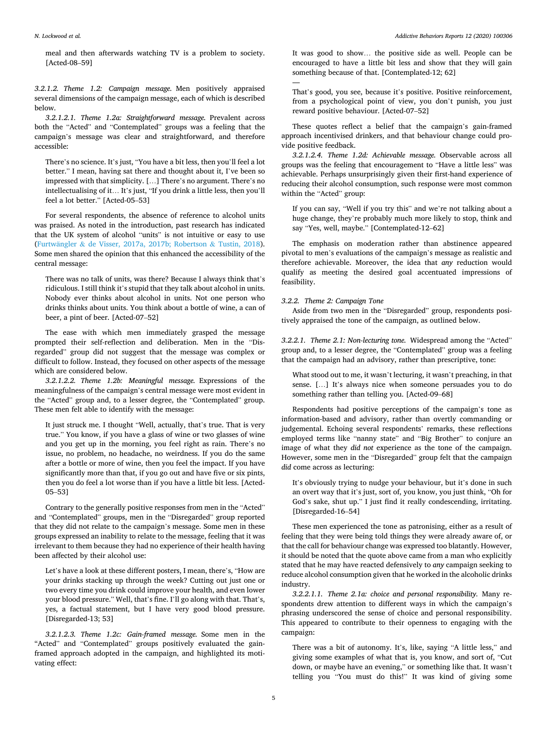meal and then afterwards watching TV is a problem to society. [Acted-08–59]

*3.2.1.2. Theme 1.2: Campaign message.* Men positively appraised several dimensions of the campaign message, each of which is described below.

*3.2.1.2.1. Theme 1.2a: Straightforward message.* Prevalent across both the "Acted" and "Contemplated" groups was a feeling that the campaign's message was clear and straightforward, and therefore accessible:

There's no science. It's just, "You have a bit less, then you'll feel a lot better." I mean, having sat there and thought about it, I've been so impressed with that simplicity. […] There's no argument. There's no intellectualising of it… It's just, "If you drink a little less, then you'll feel a lot better." [Acted-05–53]

For several respondents, the absence of reference to alcohol units was praised. As noted in the introduction, past research has indicated that the UK system of alcohol "units" is not intuitive or easy to use (Furtwängler & [de Visser, 2017a, 2017b; Robertson](#page-8-0) & Tustin, 2018). Some men shared the opinion that this enhanced the accessibility of the central message:

There was no talk of units, was there? Because I always think that's ridiculous. I still think it's stupid that they talk about alcohol in units. Nobody ever thinks about alcohol in units. Not one person who drinks thinks about units. You think about a bottle of wine, a can of beer, a pint of beer. [Acted-07–52]

The ease with which men immediately grasped the message prompted their self-reflection and deliberation. Men in the "Disregarded" group did not suggest that the message was complex or difficult to follow. Instead, they focused on other aspects of the message which are considered below.

*3.2.1.2.2. Theme 1.2b: Meaningful message.* Expressions of the meaningfulness of the campaign's central message were most evident in the "Acted" group and, to a lesser degree, the "Contemplated" group. These men felt able to identify with the message:

It just struck me. I thought "Well, actually, that's true. That is very true." You know, if you have a glass of wine or two glasses of wine and you get up in the morning, you feel right as rain. There's no issue, no problem, no headache, no weirdness. If you do the same after a bottle or more of wine, then you feel the impact. If you have significantly more than that, if you go out and have five or six pints, then you do feel a lot worse than if you have a little bit less. [Acted-05–53]

Contrary to the generally positive responses from men in the "Acted" and "Contemplated" groups, men in the "Disregarded" group reported that they did not relate to the campaign's message. Some men in these groups expressed an inability to relate to the message, feeling that it was irrelevant to them because they had no experience of their health having been affected by their alcohol use:

Let's have a look at these different posters, I mean, there's, "How are your drinks stacking up through the week? Cutting out just one or two every time you drink could improve your health, and even lower your blood pressure." Well, that's fine. I'll go along with that. That's, yes, a factual statement, but I have very good blood pressure. [Disregarded-13; 53]

*3.2.1.2.3. Theme 1.2c: Gain-framed message.* Some men in the "Acted" and "Contemplated" groups positively evaluated the gainframed approach adopted in the campaign, and highlighted its motivating effect:

It was good to show… the positive side as well. People can be encouraged to have a little bit less and show that they will gain something because of that. [Contemplated-12; 62]

That's good, you see, because it's positive. Positive reinforcement, from a psychological point of view, you don't punish, you just reward positive behaviour. [Acted-07–52]

These quotes reflect a belief that the campaign's gain-framed approach incentivised drinkers, and that behaviour change could provide positive feedback.

*3.2.1.2.4. Theme 1.2d: Achievable message.* Observable across all groups was the feeling that encouragement to "Have a little less" was achievable. Perhaps unsurprisingly given their first-hand experience of reducing their alcohol consumption, such response were most common within the "Acted" group:

If you can say, "Well if you try this" and we're not talking about a huge change, they're probably much more likely to stop, think and say "Yes, well, maybe." [Contemplated-12–62]

The emphasis on moderation rather than abstinence appeared pivotal to men's evaluations of the campaign's message as realistic and therefore achievable. Moreover, the idea that *any* reduction would qualify as meeting the desired goal accentuated impressions of feasibility.

#### *3.2.2. Theme 2: Campaign Tone*

—

Aside from two men in the "Disregarded" group, respondents positively appraised the tone of the campaign, as outlined below.

*3.2.2.1. Theme 2.1: Non-lecturing tone.* Widespread among the "Acted" group and, to a lesser degree, the "Contemplated" group was a feeling that the campaign had an advisory, rather than prescriptive, tone:

What stood out to me, it wasn't lecturing, it wasn't preaching, in that sense. […] It's always nice when someone persuades you to do something rather than telling you. [Acted-09–68]

Respondents had positive perceptions of the campaign's tone as information-based and advisory, rather than overtly commanding or judgemental. Echoing several respondents' remarks, these reflections employed terms like "nanny state" and "Big Brother" to conjure an image of what they *did not* experience as the tone of the campaign. However, some men in the "Disregarded" group felt that the campaign *did* come across as lecturing:

It's obviously trying to nudge your behaviour, but it's done in such an overt way that it's just, sort of, you know, you just think, "Oh for God's sake, shut up." I just find it really condescending, irritating. [Disregarded-16–54]

These men experienced the tone as patronising, either as a result of feeling that they were being told things they were already aware of, or that the call for behaviour change was expressed too blatantly. However, it should be noted that the quote above came from a man who explicitly stated that he may have reacted defensively to *any* campaign seeking to reduce alcohol consumption given that he worked in the alcoholic drinks industry.

*3.2.2.1.1. Theme 2.1a: choice and personal responsibility.* Many respondents drew attention to different ways in which the campaign's phrasing underscored the sense of choice and personal responsibility. This appeared to contribute to their openness to engaging with the campaign:

There was a bit of autonomy. It's, like, saying "A little less," and giving some examples of what that is, you know, and sort of, "Cut down, or maybe have an evening," or something like that. It wasn't telling you "You must do this!" It was kind of giving some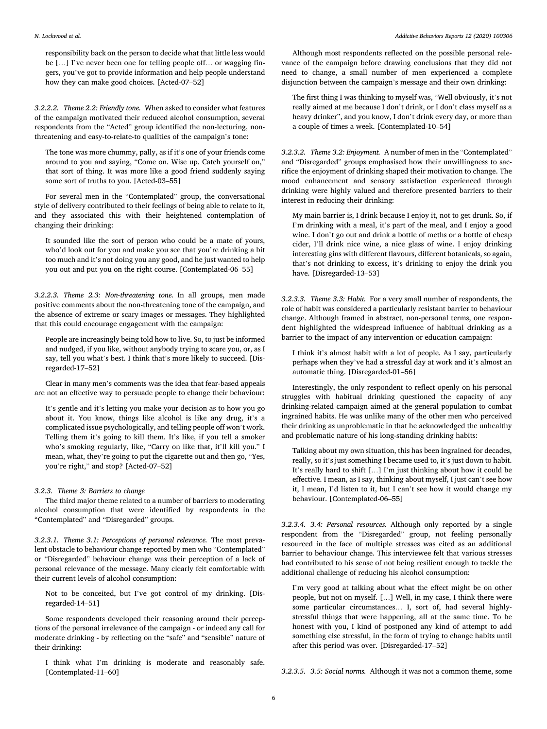responsibility back on the person to decide what that little less would be […] I've never been one for telling people off… or wagging fingers, you've got to provide information and help people understand how they can make good choices. [Acted-07–52]

*3.2.2.2. Theme 2.2: Friendly tone.* When asked to consider what features of the campaign motivated their reduced alcohol consumption, several respondents from the "Acted" group identified the non-lecturing, nonthreatening and easy-to-relate-to qualities of the campaign's tone:

The tone was more chummy, pally, as if it's one of your friends come around to you and saying, "Come on. Wise up. Catch yourself on," that sort of thing. It was more like a good friend suddenly saying some sort of truths to you. [Acted-03–55]

For several men in the "Contemplated" group, the conversational style of delivery contributed to their feelings of being able to relate to it, and they associated this with their heightened contemplation of changing their drinking:

It sounded like the sort of person who could be a mate of yours, who'd look out for you and make you see that you're drinking a bit too much and it's not doing you any good, and he just wanted to help you out and put you on the right course. [Contemplated-06–55]

*3.2.2.3. Theme 2.3: Non-threatening tone.* In all groups, men made positive comments about the non-threatening tone of the campaign, and the absence of extreme or scary images or messages. They highlighted that this could encourage engagement with the campaign:

People are increasingly being told how to live. So, to just be informed and nudged, if you like, without anybody trying to scare you, or, as I say, tell you what's best. I think that's more likely to succeed. [Disregarded-17–52]

Clear in many men's comments was the idea that fear-based appeals are not an effective way to persuade people to change their behaviour:

It's gentle and it's letting you make your decision as to how you go about it. You know, things like alcohol is like any drug, it's a complicated issue psychologically, and telling people off won't work. Telling them it's going to kill them. It's like, if you tell a smoker who's smoking regularly, like, "Carry on like that, it'll kill you." I mean, what, they're going to put the cigarette out and then go, "Yes, you're right," and stop? [Acted-07–52]

#### *3.2.3. Theme 3: Barriers to change*

The third major theme related to a number of barriers to moderating alcohol consumption that were identified by respondents in the "Contemplated" and "Disregarded" groups.

*3.2.3.1. Theme 3.1: Perceptions of personal relevance.* The most prevalent obstacle to behaviour change reported by men who "Contemplated" or "Disregarded" behaviour change was their perception of a lack of personal relevance of the message. Many clearly felt comfortable with their current levels of alcohol consumption:

Not to be conceited, but I've got control of my drinking. [Disregarded-14–51]

Some respondents developed their reasoning around their perceptions of the personal irrelevance of the campaign - or indeed any call for moderate drinking - by reflecting on the "safe" and "sensible" nature of their drinking:

I think what I'm drinking is moderate and reasonably safe. [Contemplated-11–60]

Although most respondents reflected on the possible personal relevance of the campaign before drawing conclusions that they did not need to change, a small number of men experienced a complete disjunction between the campaign's message and their own drinking:

The first thing I was thinking to myself was, "Well obviously, it's not really aimed at me because I don't drink, or I don't class myself as a heavy drinker", and you know, I don't drink every day, or more than a couple of times a week. [Contemplated-10–54]

*3.2.3.2. Theme 3.2: Enjoyment.* A number of men in the "Contemplated" and "Disregarded" groups emphasised how their unwillingness to sacrifice the enjoyment of drinking shaped their motivation to change. The mood enhancement and sensory satisfaction experienced through drinking were highly valued and therefore presented barriers to their interest in reducing their drinking:

My main barrier is, I drink because I enjoy it, not to get drunk. So, if I'm drinking with a meal, it's part of the meal, and I enjoy a good wine. I don't go out and drink a bottle of meths or a bottle of cheap cider, I'll drink nice wine, a nice glass of wine. I enjoy drinking interesting gins with different flavours, different botanicals, so again, that's not drinking to excess, it's drinking to enjoy the drink you have. [Disregarded-13–53]

*3.2.3.3. Theme 3.3: Habit.* For a very small number of respondents, the role of habit was considered a particularly resistant barrier to behaviour change. Although framed in abstract, non-personal terms, one respondent highlighted the widespread influence of habitual drinking as a barrier to the impact of any intervention or education campaign:

I think it's almost habit with a lot of people. As I say, particularly perhaps when they've had a stressful day at work and it's almost an automatic thing. [Disregarded-01–56]

Interestingly, the only respondent to reflect openly on his personal struggles with habitual drinking questioned the capacity of any drinking-related campaign aimed at the general population to combat ingrained habits. He was unlike many of the other men who perceived their drinking as unproblematic in that he acknowledged the unhealthy and problematic nature of his long-standing drinking habits:

Talking about my own situation, this has been ingrained for decades, really, so it's just something I became used to, it's just down to habit. It's really hard to shift […] I'm just thinking about how it could be effective. I mean, as I say, thinking about myself, I just can't see how it, I mean, I'd listen to it, but I can't see how it would change my behaviour. [Contemplated-06–55]

*3.2.3.4. 3.4: Personal resources.* Although only reported by a single respondent from the "Disregarded" group, not feeling personally resourced in the face of multiple stresses was cited as an additional barrier to behaviour change. This interviewee felt that various stresses had contributed to his sense of not being resilient enough to tackle the additional challenge of reducing his alcohol consumption:

I'm very good at talking about what the effect might be on other people, but not on myself. […] Well, in my case, I think there were some particular circumstances… I, sort of, had several highlystressful things that were happening, all at the same time. To be honest with you, I kind of postponed any kind of attempt to add something else stressful, in the form of trying to change habits until after this period was over. [Disregarded-17–52]

*3.2.3.5. 3.5: Social norms.* Although it was not a common theme, some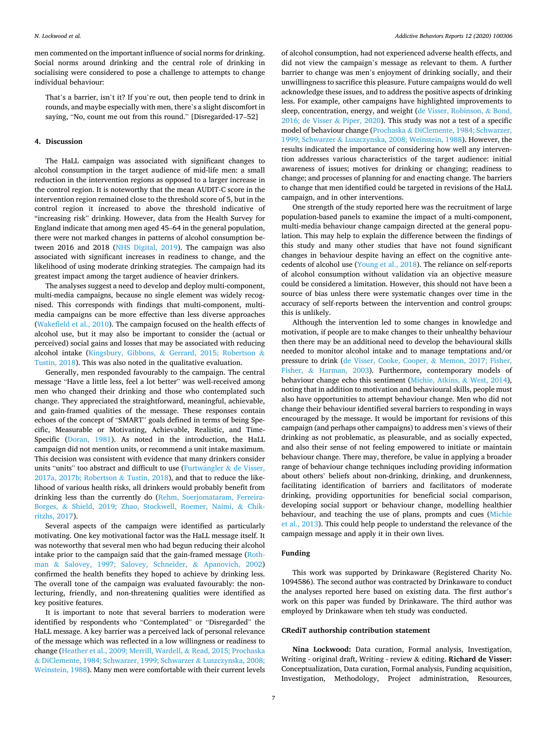men commented on the important influence of social norms for drinking. Social norms around drinking and the central role of drinking in socialising were considered to pose a challenge to attempts to change individual behaviour:

That's a barrier, isn't it? If you're out, then people tend to drink in rounds, and maybe especially with men, there's a slight discomfort in saying, "No, count me out from this round." [Disregarded-17–52]

#### **4. Discussion**

The HaLL campaign was associated with significant changes to alcohol consumption in the target audience of mid-life men: a small reduction in the intervention regions as opposed to a larger increase in the control region. It is noteworthy that the mean AUDIT-C score in the intervention region remained close to the threshold score of 5, but in the control region it increased to above the threshold indicative of "increasing risk" drinking. However, data from the Health Survey for England indicate that among men aged 45–64 in the general population, there were not marked changes in patterns of alcohol consumption between 2016 and 2018 [\(NHS Digital, 2019](#page-8-0)). The campaign was also associated with significant increases in readiness to change, and the likelihood of using moderate drinking strategies. The campaign had its greatest impact among the target audience of heavier drinkers.

The analyses suggest a need to develop and deploy multi-component, multi-media campaigns, because no single element was widely recognised. This corresponds with findings that multi-component, multimedia campaigns can be more effective than less diverse approaches ([Wakefield et al., 2010\)](#page-8-0). The campaign focused on the health effects of alcohol use, but it may also be important to consider the (actual or perceived) social gains and losses that may be associated with reducing alcohol intake (Kingsbury, Gibbons, & [Gerrard, 2015; Robertson](#page-8-0) & [Tustin, 2018](#page-8-0)). This was also noted in the qualitative evaluation.

Generally, men responded favourably to the campaign. The central message "Have a little less, feel a lot better" was well-received among men who changed their drinking and those who contemplated such change. They appreciated the straightforward, meaningful, achievable, and gain-framed qualities of the message. These responses contain echoes of the concept of "SMART" goals defined in terms of being Specific, Measurable or Motivating, Achievable, Realistic, and Time-Specific ([Doran, 1981](#page-8-0)). As noted in the introduction, the HaLL campaign did not mention units, or recommend a unit intake maximum. This decision was consistent with evidence that many drinkers consider units "units" too abstract and difficult to use (Furtwängler  $\&$  de Visser, [2017a, 2017b; Robertson](#page-8-0) & Tustin, 2018), and that to reduce the likelihood of various health risks, all drinkers would probably benefit from drinking less than the currently do [\(Rehm, Soerjomataram, Ferreira-](#page-8-0)Borges, & [Shield, 2019; Zhao, Stockwell, Roemer, Naimi,](#page-8-0) & Chik[ritzhs, 2017\)](#page-8-0).

Several aspects of the campaign were identified as particularly motivating. One key motivational factor was the HaLL message itself. It was noteworthy that several men who had begun reducing their alcohol intake prior to the campaign said that the gain-framed message [\(Roth](#page-8-0)man & [Salovey, 1997; Salovey, Schneider,](#page-8-0) & Apanovich, 2002) confirmed the health benefits they hoped to achieve by drinking less. The overall tone of the campaign was evaluated favourably: the nonlecturing, friendly, and non-threatening qualities were identified as key positive features.

It is important to note that several barriers to moderation were identified by respondents who "Contemplated" or "Disregarded" the HaLL message. A key barrier was a perceived lack of personal relevance of the message which was reflected in a low willingness or readiness to change [\(Heather et al., 2009; Merrill, Wardell,](#page-8-0) & Read, 2015; Prochaska & [DiClemente, 1984; Schwarzer, 1999; Schwarzer](#page-8-0) & Luszczynska, 2008; [Weinstein, 1988\)](#page-8-0). Many men were comfortable with their current levels of alcohol consumption, had not experienced adverse health effects, and did not view the campaign's message as relevant to them. A further barrier to change was men's enjoyment of drinking socially, and their unwillingness to sacrifice this pleasure. Future campaigns would do well acknowledge these issues, and to address the positive aspects of drinking less. For example, other campaigns have highlighted improvements to sleep, concentration, energy, and weight [\(de Visser, Robinson,](#page-8-0) & Bond, [2016; de Visser](#page-8-0) & Piper, 2020). This study was not a test of a specific model of behaviour change (Prochaska & [DiClemente, 1984; Schwarzer,](#page-8-0)  1999; Schwarzer & [Luszczynska, 2008; Weinstein, 1988](#page-8-0)). However, the results indicated the importance of considering how well any intervention addresses various characteristics of the target audience: initial awareness of issues; motives for drinking or changing; readiness to change; and processes of planning for and enacting change. The barriers to change that men identified could be targeted in revisions of the HaLL campaign, and in other interventions.

One strength of the study reported here was the recruitment of large population-based panels to examine the impact of a multi-component, multi-media behaviour change campaign directed at the general population. This may help to explain the difference between the findings of this study and many other studies that have not found significant changes in behaviour despite having an effect on the cognitive antecedents of alcohol use [\(Young et al., 2018\)](#page-9-0). The reliance on self-reports of alcohol consumption without validation via an objective measure could be considered a limitation. However, this should not have been a source of bias unless there were systematic changes over time in the accuracy of self-reports between the intervention and control groups: this is unlikely.

Although the intervention led to some changes in knowledge and motivation, if people are to make changes to their unhealthy behaviour then there may be an additional need to develop the behavioural skills needed to monitor alcohol intake and to manage temptations and/or pressure to drink [\(de Visser, Cooke, Cooper,](#page-8-0) & Memon, 2017; Fisher, Fisher, & [Harman, 2003](#page-8-0)). Furthermore, contemporary models of behaviour change echo this sentiment [\(Michie, Atkins,](#page-8-0) & West, 2014), noting that in addition to motivation and behavioural skills, people must also have opportunities to attempt behaviour change. Men who did not change their behaviour identified several barriers to responding in ways encouraged by the message. It would be important for revisions of this campaign (and perhaps other campaigns) to address men's views of their drinking as not problematic, as pleasurable, and as socially expected, and also their sense of not feeling empowered to initiate or maintain behaviour change. There may, therefore, be value in applying a broader range of behaviour change techniques including providing information about others' beliefs about non-drinking, drinking, and drunkenness, facilitating identification of barriers and facilitators of moderate drinking, providing opportunities for beneficial social comparison, developing social support or behaviour change, modelling healthier behaviour, and teaching the use of plans, prompts and cues ([Michie](#page-8-0)  [et al., 2013\)](#page-8-0). This could help people to understand the relevance of the campaign message and apply it in their own lives.

#### **Funding**

This work was supported by Drinkaware (Registered Charity No. 1094586). The second author was contracted by Drinkaware to conduct the analyses reported here based on existing data. The first author's work on this paper was funded by Drinkaware. The third author was employed by Drinkaware when teh study was conducted.

#### **CRediT authorship contribution statement**

**Nina Lockwood:** Data curation, Formal analysis, Investigation, Writing - original draft, Writing - review & editing. **Richard de Visser:**  Conceptualization, Data curation, Formal analysis, Funding acquisition, Investigation, Methodology, Project administration, Resources,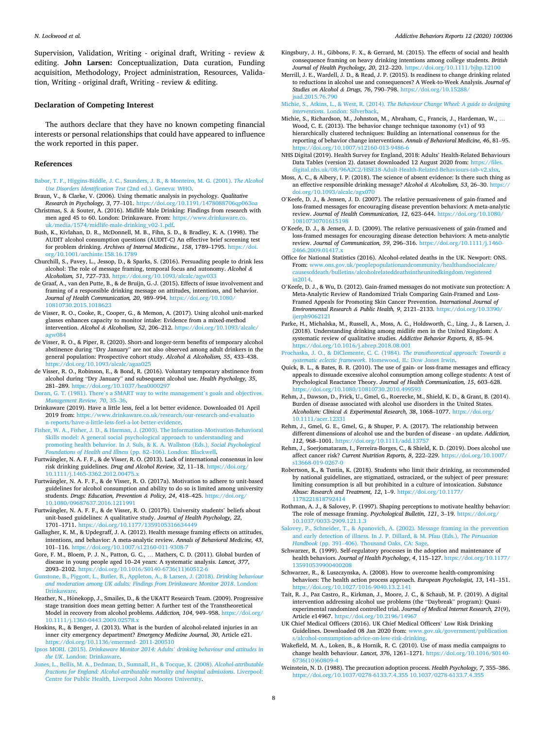<span id="page-8-0"></span>Supervision, Validation, Writing - original draft, Writing - review  $\&$ editing. **John Larsen:** Conceptualization, Data curation, Funding acquisition, Methodology, Project administration, Resources, Validation, Writing - original draft, Writing - review & editing.

#### **Declaration of Competing Interest**

The authors declare that they have no known competing financial interests or personal relationships that could have appeared to influence the work reported in this paper.

#### **References**

- [Babor, T. F., Higgins-Biddle, J. C., Saunders, J. B., & Monteiro, M. G. \(2001\).](http://refhub.elsevier.com/S2352-8532(20)30121-8/h0005) *The Alcohol [Use Disorders Identification Test](http://refhub.elsevier.com/S2352-8532(20)30121-8/h0005)* (2nd ed.). Geneva: WHO.
- Braun, V., & Clarke, V. (2006). Using thematic analysis in psychology. *Qualitative Research in Psychology, 3*, 77–101.<https://doi.org/10.1191/1478088706qp063oa>
- Christmas, S. & Souter, A. (2016). Midlife Male Drinking: Findings from research with men aged 45 to 60. London: Drinkaware. From: [https://www.drinkaware.co.](https://www.drinkaware.co.uk/media/1574/midlife-male-drinking_v02-1.pdf) [uk/media/1574/midlife-male-drinking\\_v02-1.pdf.](https://www.drinkaware.co.uk/media/1574/midlife-male-drinking_v02-1.pdf)
- Bush, K., Kivlahan, D. R., McDonnell, M. B., Fihn, S. D., & Bradley, K. A. (1998). The AUDIT alcohol consumption questions (AUDIT-C) An effective brief screening test for problem drinking. *Archives of Internal Medicine., 158*, 1789–1795. [https://doi.](https://doi.org/10.1001/archinte.158.16.1789) /10.1001/archinte.158.16.1789
- Churchill, S., Pavey, L., Jessop, D., & Sparks, S. (2016). Persuading people to drink less alcohol: The role of message framing, temporal focus and autonomy. *Alcohol & Alcoholism, 51*, 727–733.<https://doi.org/10.1093/alcalc/agw033>
- de Graaf, A., van den Putte, B., & de Bruijn, G.-J. (2015). Effects of issue involvement and framing of a responsible drinking message on attitudes, intentions, and behavior. *Journal of Health Communication, 20*, 989–994. [https://doi.org/10.1080/](https://doi.org/10.1080/10810730.2015.1018623) [10810730.2015.1018623](https://doi.org/10.1080/10810730.2015.1018623)
- de Visser, R. O., Cooke, R., Cooper, G., & Memon, A. (2017). Using alcohol unit-marked glasses enhances capacity to monitor intake: Evidence from a mixed-method intervention. *Alcohol & Alcoholism, 52*, 206–212. [https://doi.org/10.1093/alcalc/](https://doi.org/10.1093/alcalc/agw084) [agw084](https://doi.org/10.1093/alcalc/agw084)
- de Visser, R. O., & Piper, R. (2020). Short-and longer-term benefits of temporary alcohol abstinence during "Dry January" are not also observed among adult drinkers in the general population: Prospective cohort study. *Alcohol & Alcoholism, 55*, 433–438. <https://doi.org/10.1093/alcalc/agaa025>
- de Visser, R. O., Robinson, E., & Bond, R. (2016). Voluntary temporary abstinence from alcohol during "Dry January" and subsequent alcohol use. *Health Psychology, 35*, 281–289. <https://doi.org/10.1037/hea0000297>
- Doran, G. T. (1981). There'[s a SMART way to write management](http://refhub.elsevier.com/S2352-8532(20)30121-8/h0050)'s goals and objectives. *[Management Review, 70](http://refhub.elsevier.com/S2352-8532(20)30121-8/h0050)*, 35–36.
- Drinkaware (2019). Have a little less, feel a lot better evidence. Downloaded 01 April 2019 from: https://www.drinkaware.co.uk/research/our-research-and-evaluati [n-reports/have-a-little-less-feel-a-lot-better-evidence.](https://www.drinkaware.co.uk/research/our-research-and-evaluation-reports/have-a-little-less-feel-a-lot-better-evidence)
- [Fisher, W. A., Fisher, J. D., & Harman, J. \(2003\). The Information](http://refhub.elsevier.com/S2352-8532(20)30121-8/h0060)–Motivation-Behavioral [Skills model: A general social psychological approach to understanding and](http://refhub.elsevier.com/S2352-8532(20)30121-8/h0060) [promoting health behavior. In J. Suls, & K. A. Wallston \(Eds.\),](http://refhub.elsevier.com/S2352-8532(20)30121-8/h0060) *Social Psychological [Foundations of Health and Illness](http://refhub.elsevier.com/S2352-8532(20)30121-8/h0060)* (pp. 82–106). London: Blackwell.
- Furtwängler, N. A. F. F., & de Visser, R. O. (2013). Lack of international consensus in low risk drinking guidelines. *Drug and Alcohol Review, 32*, 11–18. [https://doi.org/](https://doi.org/10.1111/j.1465-3362.2012.00475.x)  [10.1111/j.1465-3362.2012.00475.x](https://doi.org/10.1111/j.1465-3362.2012.00475.x)
- Furtwängler, N. A. F. F., & de Visser, R. O. (2017a). Motivation to adhere to unit-based guidelines for alcohol consumption and ability to do so is limited among university students. *Drugs: Education, Prevention & Policy, 24*, 418–425. [https://doi.org/](https://doi.org/10.1080/09687637.2016.1211991)  [10.1080/09687637.2016.1211991](https://doi.org/10.1080/09687637.2016.1211991)
- Furtwängler, N. A. F. F., & de Visser, R. O. (2017b). University students' beliefs about unit-based guidelines: A qualitative study. *Journal of Health Psychology, 22*, 1701–1711.<https://doi.org/10.1177/1359105316634449>
- Gallagher, K. M., & Updegraff, J. A. (2012). Health message framing effects on attitudes, intentions, and behavior: A meta-analytic review. *Annals of Behavioral Medicine, 43*, 101–116. <https://doi.org/10.1007/s12160-011-9308-7>
- Gore, F. M., Bloem, P. J. N., Patton, G. C., … Mathers, C. D. (2011). Global burden of disease in young people aged 10–24 years: A systematic analysis. *Lancet, 377*, 2093–2102. [https://doi.org/10.1016/S0140-6736\(11\)60512-6](https://doi.org/10.1016/S0140-6736(11)60512-6)
- [Gunstone, B., Piggott, L., Butler, B., Appleton, A., & Larsen, J. \(2018\).](http://refhub.elsevier.com/S2352-8532(20)30121-8/h0090) *Drinking behaviour [and moderation among UK adults: Findings from Drinkaware Monitor 2018](http://refhub.elsevier.com/S2352-8532(20)30121-8/h0090)*. London: [Drinkaware.](http://refhub.elsevier.com/S2352-8532(20)30121-8/h0090)
- Heather, N., Hönekopp, J., Smailes, D., & the UKATT Research Team. (2009). Progressive stage transition does mean getting better: A further test of the Transtheoretical Model in recovery from alcohol problems. *Addiction, 104*, 949–958. [https://doi.org/](https://doi.org/10.1111/j.1360-0443.2009.02578.x)  [10.1111/j.1360-0443.2009.02578.x](https://doi.org/10.1111/j.1360-0443.2009.02578.x)
- Hoskins, R., & Benger, J. (2013). What is the burden of alcohol-related injuries in an inner city emergency department? *Emergency Medicine Journal, 30*, Article e21. <https://doi.org/10.1136/emermed- 2011-200510>
- Ipsos MORI. (2015). *Drinkaware Monitor 2014: Adults' [drinking behaviour and attitudes in](http://refhub.elsevier.com/S2352-8532(20)30121-8/h0105)  the UK*[. London: Drinkaware](http://refhub.elsevier.com/S2352-8532(20)30121-8/h0105).
- [Jones, L., Bellis, M. A., Dedman, D., Sumnall, H., & Tocque, K. \(2008\).](http://refhub.elsevier.com/S2352-8532(20)30121-8/h0110) *Alcohol-attributable [fractions for England: Alcohol-attributable mortality and hospital admissions](http://refhub.elsevier.com/S2352-8532(20)30121-8/h0110)*. Liverpool: [Centre for Public Health, Liverpool John Moores University.](http://refhub.elsevier.com/S2352-8532(20)30121-8/h0110)
- Kingsbury, J. H., Gibbons, F. X., & Gerrard, M. (2015). The effects of social and health consequence framing on heavy drinking intentions among college students. *British Journal of Health Psychology, 20*, 212–220. <https://doi.org/10.1111/bjhp.12100>
- Merrill, J. E., Wardell, J. D., & Read, J. P. (2015). Is readiness to change drinking related to reductions in alcohol use and consequences? A Week-to-Week Analysis. *Journal of Studies on Alcohol & Drugs, 76*, 790–798. [https://doi.org/10.15288/](https://doi.org/10.15288/jsad.2015.76.790)  [jsad.2015.76.790](https://doi.org/10.15288/jsad.2015.76.790)

Michie, S., Atkins, L., & West, R. (2014). *[The Behaviour Change Wheel: A guide to designing](http://refhub.elsevier.com/S2352-8532(20)30121-8/h0125)  interventions*[. London: Silverback.](http://refhub.elsevier.com/S2352-8532(20)30121-8/h0125)

- Michie, S., Richardson, M., Johnston, M., Abraham, C., Francis, J., Hardeman, W., … Wood, C. E. (2013). The behavior change technique taxonomy (v1) of 93 hierarchically clustered techniques: Building an international consensus for the reporting of behavior change interventions. *Annals of Behavioral Medicine, 46*, 81–95. <https://doi.org/10.1007/s12160-013-9486-6>
- NHS Digital (2019). Health Survey for England, 2018: Adults' Health-Related Behaviours Data Tables (version 2). dataset downloaded 12 August 2020 from: https://files [digital.nhs.uk/08/96A2C2/HSE18-Adult-Health-Related-Behaviours-tab-v2.xlsx](https://files.digital.nhs.uk/08/96A2C2/HSE18-Adult-Health-Related-Behaviours-tab-v2.xlsx).
- Moss, A. C., & Albery, I. P. (2018). The science of absent evidence: Is there such thing as an effective responsible drinking message? Alcohol & Alcoholism, 53, 26-30. https: [doi.org/10.1093/alcalc/agx070](https://doi.org/10.1093/alcalc/agx070)
- O'Keefe, D. J., & Jensen, J. D. (2007). The relative persuasiveness of gain-framed and loss-framed messages for encouraging disease prevention behaviors: A meta-analytic review. *Journal of Health Communication, 12*, 623–644. [https://doi.org/10.1080/](https://doi.org/10.1080/10810730701615198) [10810730701615198](https://doi.org/10.1080/10810730701615198)
- O'Keefe, D. J., & Jensen, J. D. (2009). The relative persuasiveness of gain-framed and loss-framed messages for encouraging disease detection behaviors: A meta-analytic review. *Journal of Communication, 59*, 296–316. [https://doi.org/10.1111/j.1460-](https://doi.org/10.1111/j.1460-2466.2009.01417.x)  2466.2009.01417.
- Office for National Statistics (2016). Alcohol-related deaths in the UK. Newport: ONS. From: www.ons.gov.uk/peoplepopulationandcommunity/healthandsocialcare/ [causesofdeath/bulletins/alcoholrelateddeathsintheunitedkingdom/registered](http://www.ons.gov.uk/peoplepopulationandcommunity/healthandsocialcare/causesofdeath/bulletins/alcoholrelateddeathsintheunitedkingdom/registeredin2014)  [in2014](http://www.ons.gov.uk/peoplepopulationandcommunity/healthandsocialcare/causesofdeath/bulletins/alcoholrelateddeathsintheunitedkingdom/registeredin2014).
- O'Keefe, D. J., & Wu, D. (2012). Gain-framed messages do not motivate sun protection: A Meta-Analytic Review of Randomized Trials Comparing Gain-Framed and Loss-Framed Appeals for Promoting Skin Cancer Prevention. *International Journal of Environmental Research & Public Health, 9*, 2121–2133. [https://doi.org/10.3390/](https://doi.org/10.3390/ijerph9062121) [ijerph9062121](https://doi.org/10.3390/ijerph9062121)
- Parke, H., Michalska, M., Russell, A., Moss, A. C., Holdsworth, C., Ling, J., & Larsen, J. (2018). Understanding drinking among midlife men in the United Kingdom: A systematic review of qualitative studies. *Addictive Behavior Reports, 8*, 85–94. <https://doi.org/10.1016/j.abrep.2018.08.001>
- [Prochaska, J. O., & DiClemente, C. C. \(1984\).](http://refhub.elsevier.com/S2352-8532(20)30121-8/h0170) *The transtheoretical approach: Towards a systematic eclectic framework*[. Homewood, IL: Dow Jones Irwin.](http://refhub.elsevier.com/S2352-8532(20)30121-8/h0170)
- Quick, B. L., & Bates, B. R. (2010). The use of gain- or loss-frame messages and efficacy appeals to dissuade excessive alcohol consumption among college students: A test of Psychological Reactance Theory. *Journal of Health Communication, 15*, 603–628. <https://doi.org/10.1080/10810730.2010.499593>
- Rehm, J., Dawson, D., Frick, U., Gmel, G., Roerecke, M., Shield, K. D., & Grant, B. (2014). Burden of disease associated with alcohol use disorders in the United States. *Alcoholism: Clinical & Experimental Research, 38*, 1068–1077. [https://doi.org/](https://doi.org/10.1111/acer.12331) [10.1111/acer.12331](https://doi.org/10.1111/acer.12331)
- Rehm, J., Gmel, G. E., Gmel, G., & Shuper, P. A. (2017). The relationship between different dimensions of alcohol use and the burden of disease - an update. *Addiction,*  112, 968-1001. https://doi.org/10.1111/add.1375
- Rehm, J., Soerjomataram, I., Ferreira-Borges, C., & Shield, K. D. (2019). Does alcohol use affect cancer risk? *Current Nutrition Reports, 8*, 222–229. [https://doi.org/10.1007/](https://doi.org/10.1007/s13668-019-0267-0)  [s13668-019-0267-0](https://doi.org/10.1007/s13668-019-0267-0)
- Robertson, K., & Tustin, K. (2018). Students who limit their drinking, as recommended by national guidelines, are stigmatized, ostracized, or the subject of peer pressure: limiting consumption is all but prohibited in a culture of intoxication. *Substance Abuse: Research and Treatment, 12*, 1–9. [https://doi.org/10.1177/](https://doi.org/10.1177/1178221818792414)  [1178221818792414](https://doi.org/10.1177/1178221818792414)
- Rothman, A. J., & Salovey, P. (1997). Shaping perceptions to motivate healthy behavior: The role of message framing. *Psychological Bulletin, 121*, 3–19. [https://doi.org/](https://doi.org/10.1037/0033-2909.121.1.3) [10.1037/0033-2909.121.1.3](https://doi.org/10.1037/0033-2909.121.1.3)
- [Salovey, P., Schneider, T., & Apanovich, A. \(2002\). Message framing in the prevention](http://refhub.elsevier.com/S2352-8532(20)30121-8/h0205)  [and early detection of illness. In J. P. Dillard, & M. Pfau \(Eds.\),](http://refhub.elsevier.com/S2352-8532(20)30121-8/h0205) *The Persuasion Handbook* (pp. 391–[406\). Thousand Oaks, CA: Sage](http://refhub.elsevier.com/S2352-8532(20)30121-8/h0205).
- Schwarzer, R. (1999). Self-regulatory processes in the adoption and maintenance of health behaviors. *Journal of Health Psychology, 4*, 115–127. [https://doi.org/10.1177/](https://doi.org/10.1177/135910539900400208)  [135910539900400208](https://doi.org/10.1177/135910539900400208)
- Schwarzer, R., & Luszczynska, A. (2008). How to overcome health-compromising behaviors: The health action process approach. *European Psychologist, 13*, 141–151. <https://doi.org/10.1027/1016-9040.13.2.141>
- Tait, R. J., Paz Castro, R., Kirkman, J., Moore, J. C., & Schaub, M. P. (2019). A digital intervention addressing alcohol use problems (the "Daybreak" program): Quasiexperimental randomized controlled trial. *Journal of Medical Internet Research, 21*(9), Article e14967. <https://doi.org/10.2196/14967>
- UK Chief Medical Officers (2016). UK Chief Medical Officers' Low Risk Drinking Guidelines. Downloaded 08 Jan 2020 from: [www.gov.uk/government/publication](http://www.gov.uk/government/publications/alcohol-consumption-advice-on-low-risk-drinking)  [s/alcohol-consumption-advice-on-low-risk-drinking](http://www.gov.uk/government/publications/alcohol-consumption-advice-on-low-risk-drinking).
- Wakefield, M. A., Loken, B., & Hornik, R. C. (2010). Use of mass media campaigns to change health behaviour. *Lancet, 376*, 1261–1271. [https://doi.org/10.1016/S0140-](https://doi.org/10.1016/S0140-6736(10)60809-4)  [6736\(10\)60809-4](https://doi.org/10.1016/S0140-6736(10)60809-4)
- Weinstein, N. D. (1988). The precaution adoption process. *Health Psychology, 7*, 355–386. <https://doi.org/10.1037/0278-6133.7.4.355 10.1037/0278-6133.7.4.355>